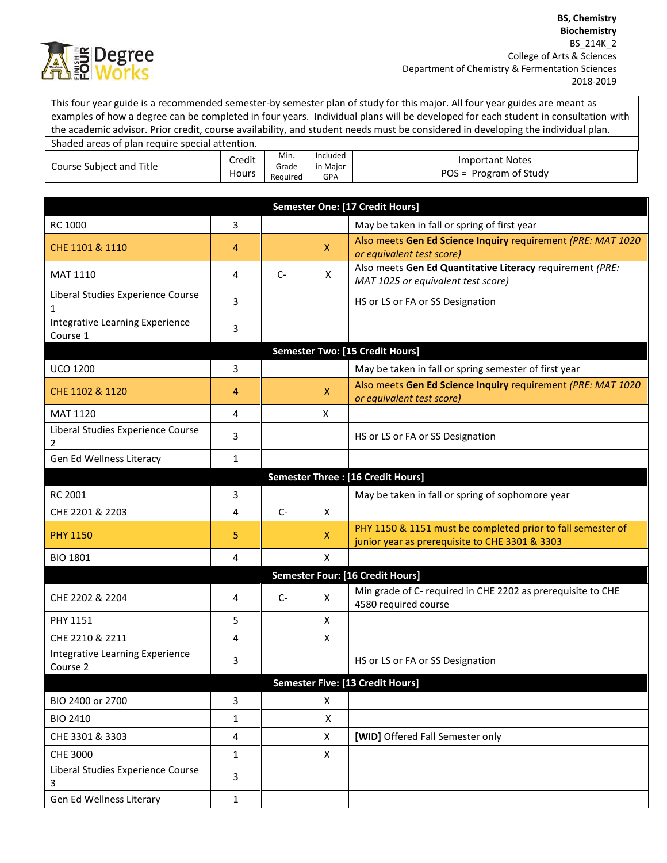

This four year guide is a recommended semester-by semester plan of study for this major. All four year guides are meant as examples of how a degree can be completed in four years. Individual plans will be developed for each student in consultation with the academic advisor. Prior credit, course availability, and student needs must be considered in developing the individual plan.

| Shaded areas of plan require special attention. |                 |                           |                                    |                                             |
|-------------------------------------------------|-----------------|---------------------------|------------------------------------|---------------------------------------------|
| Course Subject and Title                        | Credit<br>Hours | Min.<br>Grade<br>Reauired | Included<br>in Maior<br><b>GPA</b> | Important Notes<br>$POS = Program of Study$ |

| Semester One: [17 Credit Hours]             |                                         |      |              |                                                                                                               |  |  |
|---------------------------------------------|-----------------------------------------|------|--------------|---------------------------------------------------------------------------------------------------------------|--|--|
| RC 1000                                     | 3                                       |      |              | May be taken in fall or spring of first year                                                                  |  |  |
| CHE 1101 & 1110                             | 4                                       |      | $\mathsf{X}$ | Also meets Gen Ed Science Inquiry requirement (PRE: MAT 1020<br>or equivalent test score)                     |  |  |
| <b>MAT 1110</b>                             | 4                                       | $C-$ | X            | Also meets Gen Ed Quantitative Literacy requirement (PRE:<br>MAT 1025 or equivalent test score)               |  |  |
| Liberal Studies Experience Course<br>1      | 3                                       |      |              | HS or LS or FA or SS Designation                                                                              |  |  |
| Integrative Learning Experience<br>Course 1 | 3                                       |      |              |                                                                                                               |  |  |
|                                             |                                         |      |              | <b>Semester Two: [15 Credit Hours]</b>                                                                        |  |  |
| <b>UCO 1200</b>                             | 3                                       |      |              | May be taken in fall or spring semester of first year                                                         |  |  |
| CHE 1102 & 1120                             | 4                                       |      | $\mathsf{X}$ | Also meets Gen Ed Science Inquiry requirement (PRE: MAT 1020<br>or equivalent test score)                     |  |  |
| MAT 1120                                    | 4                                       |      | $\mathsf{x}$ |                                                                                                               |  |  |
| Liberal Studies Experience Course<br>2      | 3                                       |      |              | HS or LS or FA or SS Designation                                                                              |  |  |
| Gen Ed Wellness Literacy                    | $\mathbf{1}$                            |      |              |                                                                                                               |  |  |
|                                             |                                         |      |              | <b>Semester Three: [16 Credit Hours]</b>                                                                      |  |  |
| <b>RC 2001</b>                              | 3                                       |      |              | May be taken in fall or spring of sophomore year                                                              |  |  |
| CHE 2201 & 2203                             | 4                                       | $C-$ | X            |                                                                                                               |  |  |
| <b>PHY 1150</b>                             | 5                                       |      | X            | PHY 1150 & 1151 must be completed prior to fall semester of<br>junior year as prerequisite to CHE 3301 & 3303 |  |  |
| <b>BIO 1801</b>                             | 4                                       |      | X            |                                                                                                               |  |  |
|                                             | <b>Semester Four: [16 Credit Hours]</b> |      |              |                                                                                                               |  |  |
| CHE 2202 & 2204                             | 4                                       | $C-$ | X            | Min grade of C- required in CHE 2202 as prerequisite to CHE<br>4580 required course                           |  |  |
| PHY 1151                                    | 5                                       |      | X            |                                                                                                               |  |  |
| CHE 2210 & 2211                             | 4                                       |      | X            |                                                                                                               |  |  |
| Integrative Learning Experience<br>Course 2 | 3                                       |      |              | HS or LS or FA or SS Designation                                                                              |  |  |
| Semester Five: [13 Credit Hours]            |                                         |      |              |                                                                                                               |  |  |
| BIO 2400 or 2700                            | 3                                       |      | X            |                                                                                                               |  |  |
| <b>BIO 2410</b>                             | $\mathbf{1}$                            |      | X            |                                                                                                               |  |  |
| CHE 3301 & 3303                             | 4                                       |      | X            | [WID] Offered Fall Semester only                                                                              |  |  |
| CHE 3000                                    | $\mathbf{1}$                            |      | X            |                                                                                                               |  |  |
| Liberal Studies Experience Course<br>3      | 3                                       |      |              |                                                                                                               |  |  |
| Gen Ed Wellness Literary                    | $\mathbf{1}$                            |      |              |                                                                                                               |  |  |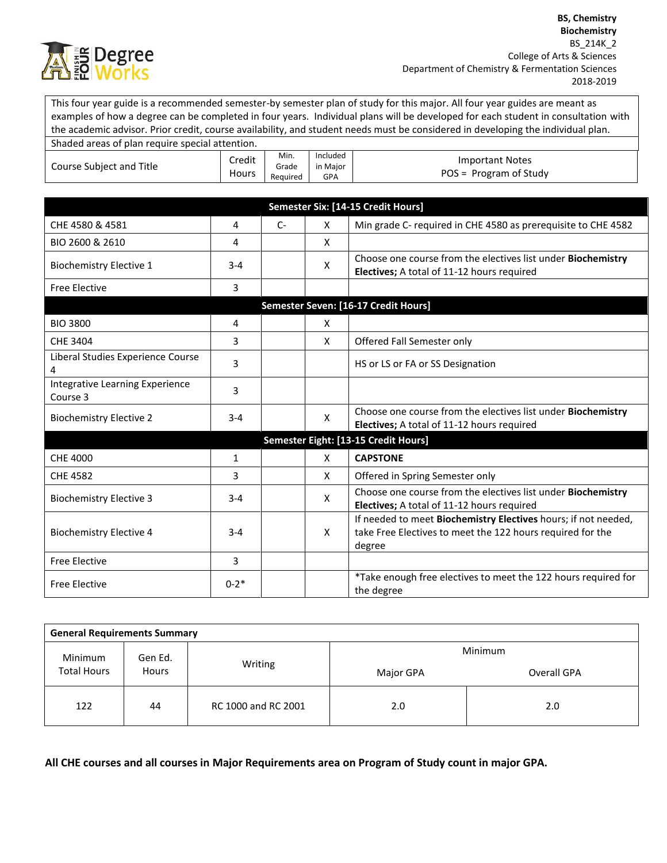

This four year guide is a recommended semester-by semester plan of study for this major. All four year guides are meant as examples of how a degree can be completed in four years. Individual plans will be developed for each student in consultation with the academic advisor. Prior credit, course availability, and student needs must be considered in developing the individual plan.

| Shaded areas of plan require special attention. |                 |                           |                                    |                                                    |
|-------------------------------------------------|-----------------|---------------------------|------------------------------------|----------------------------------------------------|
| Course Subject and Title                        | Credit<br>Hours | Min.<br>Grade<br>Reauired | Included<br>in Maior<br><b>GPA</b> | <b>Important Notes</b><br>$POS = Program of Study$ |

| Semester Six: [14-15 Credit Hours]          |              |      |              |                                                                                                                                        |  |  |
|---------------------------------------------|--------------|------|--------------|----------------------------------------------------------------------------------------------------------------------------------------|--|--|
| CHE 4580 & 4581                             | 4            | $C-$ | X            | Min grade C- required in CHE 4580 as prerequisite to CHE 4582                                                                          |  |  |
| BIO 2600 & 2610                             | 4            |      | X            |                                                                                                                                        |  |  |
| <b>Biochemistry Elective 1</b>              | $3 - 4$      |      | X            | Choose one course from the electives list under <b>Biochemistry</b><br>Electives; A total of 11-12 hours required                      |  |  |
| <b>Free Elective</b>                        | 3            |      |              |                                                                                                                                        |  |  |
| Semester Seven: [16-17 Credit Hours]        |              |      |              |                                                                                                                                        |  |  |
| <b>BIO 3800</b>                             | 4            |      | X            |                                                                                                                                        |  |  |
| CHE 3404                                    | 3            |      | $\mathsf{x}$ | Offered Fall Semester only                                                                                                             |  |  |
| Liberal Studies Experience Course<br>4      | 3            |      |              | HS or LS or FA or SS Designation                                                                                                       |  |  |
| Integrative Learning Experience<br>Course 3 | 3            |      |              |                                                                                                                                        |  |  |
| <b>Biochemistry Elective 2</b>              | $3 - 4$      |      | X            | Choose one course from the electives list under Biochemistry<br>Electives; A total of 11-12 hours required                             |  |  |
|                                             |              |      |              | Semester Eight: [13-15 Credit Hours]                                                                                                   |  |  |
| CHE 4000                                    | $\mathbf{1}$ |      | X            | <b>CAPSTONE</b>                                                                                                                        |  |  |
| <b>CHE 4582</b>                             | 3            |      | X            | Offered in Spring Semester only                                                                                                        |  |  |
| <b>Biochemistry Elective 3</b>              | $3 - 4$      |      | X            | Choose one course from the electives list under Biochemistry<br>Electives; A total of 11-12 hours required                             |  |  |
| <b>Biochemistry Elective 4</b>              | $3 - 4$      |      | X            | If needed to meet Biochemistry Electives hours; if not needed,<br>take Free Electives to meet the 122 hours required for the<br>degree |  |  |
| <b>Free Elective</b>                        | 3            |      |              |                                                                                                                                        |  |  |
| <b>Free Elective</b>                        | $0 - 2*$     |      |              | *Take enough free electives to meet the 122 hours required for<br>the degree                                                           |  |  |

| <b>General Requirements Summary</b> |         |                     |           |             |  |  |
|-------------------------------------|---------|---------------------|-----------|-------------|--|--|
| Minimum                             | Gen Ed. |                     | Minimum   |             |  |  |
| <b>Total Hours</b><br><b>Hours</b>  |         | Writing             | Major GPA | Overall GPA |  |  |
| 122                                 | 44      | RC 1000 and RC 2001 | 2.0       | 2.0         |  |  |

**All CHE courses and all courses in Major Requirements area on Program of Study count in major GPA.**